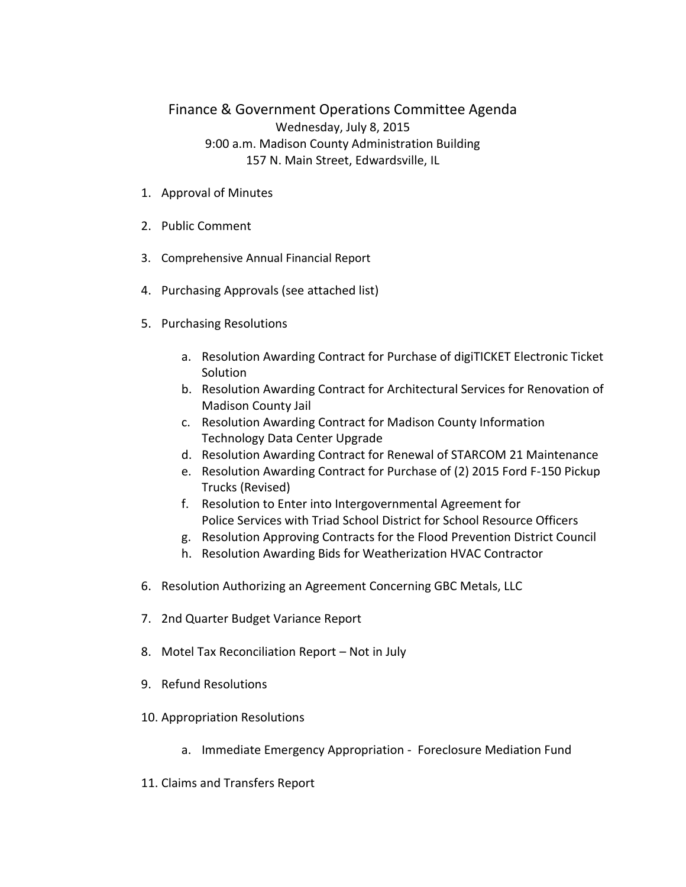## Finance & Government Operations Committee Agenda Wednesday, July 8, 2015 9:00 a.m. Madison County Administration Building 157 N. Main Street, Edwardsville, IL

- 1. Approval of Minutes
- 2. Public Comment
- 3. Comprehensive Annual Financial Report
- 4. Purchasing Approvals (see attached list)
- 5. Purchasing Resolutions
	- a. Resolution Awarding Contract for Purchase of digiTICKET Electronic Ticket Solution
	- b. Resolution Awarding Contract for Architectural Services for Renovation of Madison County Jail
	- c. Resolution Awarding Contract for Madison County Information Technology Data Center Upgrade
	- d. Resolution Awarding Contract for Renewal of STARCOM 21 Maintenance
	- e. Resolution Awarding Contract for Purchase of (2) 2015 Ford F-150 Pickup Trucks (Revised)
	- f. Resolution to Enter into Intergovernmental Agreement for Police Services with Triad School District for School Resource Officers
	- g. Resolution Approving Contracts for the Flood Prevention District Council
	- h. Resolution Awarding Bids for Weatherization HVAC Contractor
- 6. Resolution Authorizing an Agreement Concerning GBC Metals, LLC
- 7. 2nd Quarter Budget Variance Report
- 8. Motel Tax Reconciliation Report Not in July
- 9. Refund Resolutions
- 10. Appropriation Resolutions
	- a. Immediate Emergency Appropriation Foreclosure Mediation Fund
- 11. Claims and Transfers Report